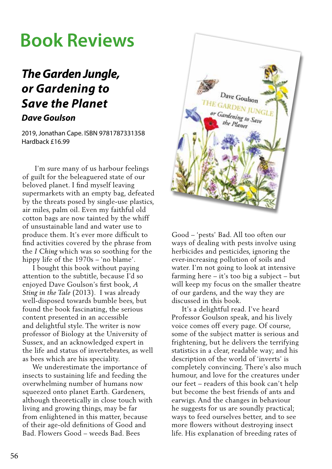# **Book Reviews**

### *The Garden Jungle, or Gardening to Save the Planet Dave Goulson*

2019, Jonathan Cape. ISBN 9781787331358 Hardback £16.99

 I'm sure many of us harbour feelings of guilt for the beleaguered state of our beloved planet. I find myself leaving supermarkets with an empty bag, defeated by the threats posed by single-use plastics, air miles, palm oil. Even my faithful old cotton bags are now tainted by the whiff of unsustainable land and water use to produce them. It's ever more difficult to find activities covered by the phrase from the *I Ching* which was so soothing for the hippy life of the 1970s – 'no blame'.

 I bought this book without paying attention to the subtitle, because I'd so enjoyed Dave Goulson's first book, *A Sting in the Tale* (2013). I was already well-disposed towards bumble bees, but found the book fascinating, the serious content presented in an accessible and delightful style. The writer is now professor of Biology at the University of Sussex, and an acknowledged expert in the life and status of invertebrates, as well as bees which are his speciality.

 We underestimate the importance of insects to sustaining life and feeding the overwhelming number of humans now squeezed onto planet Earth. Gardeners, although theoretically in close touch with living and growing things, may be far from enlightened in this matter, because of their age-old definitions of Good and Bad. Flowers Good – weeds Bad. Bees



Good – 'pests' Bad. All too often our ways of dealing with pests involve using herbicides and pesticides, ignoring the ever-increasing pollution of soils and water. I'm not going to look at intensive farming here – it's too big a subject – but will keep my focus on the smaller theatre of our gardens, and the way they are discussed in this book.

 It's a delightful read. I've heard Professor Goulson speak, and his lively voice comes off every page. Of course, some of the subject matter is serious and frightening, but he delivers the terrifying statistics in a clear, readable way; and his description of the world of 'inverts' is completely convincing. There's also much humour, and love for the creatures under our feet – readers of this book can't help but become the best friends of ants and earwigs. And the changes in behaviour he suggests for us are soundly practical; ways to feed ourselves better, and to see more flowers without destroying insect life. His explanation of breeding rates of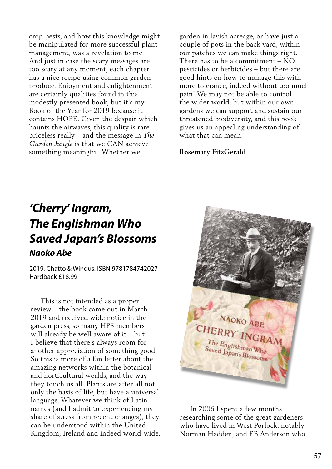crop pests, and how this knowledge might be manipulated for more successful plant management, was a revelation to me. And just in case the scary messages are too scary at any moment, each chapter has a nice recipe using common garden produce. Enjoyment and enlightenment are certainly qualities found in this modestly presented book, but it's my Book of the Year for 2019 because it contains HOPE. Given the despair which haunts the airwaves, this quality is rare – priceless really – and the message in *The Garden Jungle* is that we CAN achieve something meaningful. Whether we

garden in lavish acreage, or have just a couple of pots in the back yard, within our patches we can make things right. There has to be a commitment – NO pesticides or herbicides – but there are good hints on how to manage this with more tolerance, indeed without too much pain! We may not be able to control the wider world, but within our own gardens we can support and sustain our threatened biodiversity, and this book gives us an appealing understanding of what that can mean.

#### **Rosemary FitzGerald**

## *'Cherry' Ingram, The Englishman Who Saved Japan's Blossoms Naoko Abe*

2019, Chatto & Windus. ISBN 9781784742027 Hardback £18.99

 This is not intended as a proper review – the book came out in March 2019 and received wide notice in the garden press, so many HPS members will already be well aware of it – but I believe that there's always room for another appreciation of something good. So this is more of a fan letter about the amazing networks within the botanical and horticultural worlds, and the way they touch us all. Plants are after all not only the basis of life, but have a universal language. Whatever we think of Latin names (and I admit to experiencing my share of stress from recent changes), they can be understood within the United Kingdom, Ireland and indeed world-wide.



 In 2006 I spent a few months researching some of the great gardeners who have lived in West Porlock, notably Norman Hadden, and EB Anderson who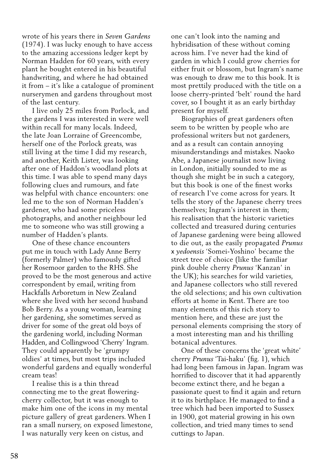wrote of his years there in *Seven Gardens* (1974). I was lucky enough to have access to the amazing accessions ledger kept by Norman Hadden for 60 years, with every plant he bought entered in his beautiful handwriting, and where he had obtained it from – it's like a catalogue of prominent nurserymen and gardens throughout most of the last century.

 I live only 25 miles from Porlock, and the gardens I was interested in were well within recall for many locals. Indeed, the late Joan Lorraine of Greencombe, herself one of the Porlock greats, was still living at the time I did my research, and another, Keith Lister, was looking after one of Haddon's woodland plots at this time. I was able to spend many days following clues and rumours, and fate was helpful with chance encounters: one led me to the son of Norman Hadden's gardener, who had some priceless photographs, and another neighbour led me to someone who was still growing a number of Hadden's plants.

 One of these chance encounters put me in touch with Lady Anne Berry (formerly Palmer) who famously gifted her Rosemoor garden to the RHS. She proved to be the most generous and active correspondent by email, writing from Hackfalls Arboretum in New Zealand where she lived with her second husband Bob Berry. As a young woman, learning her gardening, she sometimes served as driver for some of the great old boys of the gardening world, including Norman Hadden, and Collingwood 'Cherry' Ingram. They could apparently be 'grumpy oldies' at times, but most trips included wonderful gardens and equally wonderful cream teas!

 I realise this is a thin thread connecting me to the great floweringcherry collector, but it was enough to make him one of the icons in my mental picture gallery of great gardeners. When I ran a small nursery, on exposed limestone, I was naturally very keen on cistus, and

one can't look into the naming and hybridisation of these without coming across him. I've never had the kind of garden in which I could grow cherries for either fruit or blossom, but Ingram's name was enough to draw me to this book. It is most prettily produced with the title on a loose cherry-printed 'belt' round the hard cover, so I bought it as an early birthday present for myself.

 Biographies of great gardeners often seem to be written by people who are professional writers but not gardeners, and as a result can contain annoying misunderstandings and mistakes. Naoko Abe, a Japanese journalist now living in London, initially sounded to me as though she might be in such a category, but this book is one of the finest works of research I've come across for years. It tells the story of the Japanese cherry trees themselves; Ingram's interest in them; his realisation that the historic varieties collected and treasured during centuries of Japanese gardening were being allowed to die out, as the easily propagated *Prunus* x *yedoensis* 'Somei-Yoshino' became the street tree of choice (like the familiar pink double cherry *Prunus* 'Kanzan' in the UK); his searches for wild varieties, and Japanese collectors who still revered the old selections; and his own cultivation efforts at home in Kent. There are too many elements of this rich story to mention here, and these are just the personal elements comprising the story of a most interesting man and his thrilling botanical adventures.

 One of these concerns the 'great white' cherry *Prunus* 'Tai-haku' (fig. 1), which had long been famous in Japan. Ingram was horrified to discover that it had apparently become extinct there, and he began a passionate quest to find it again and return it to its birthplace. He managed to find a tree which had been imported to Sussex in 1900, got material growing in his own collection, and tried many times to send cuttings to Japan.